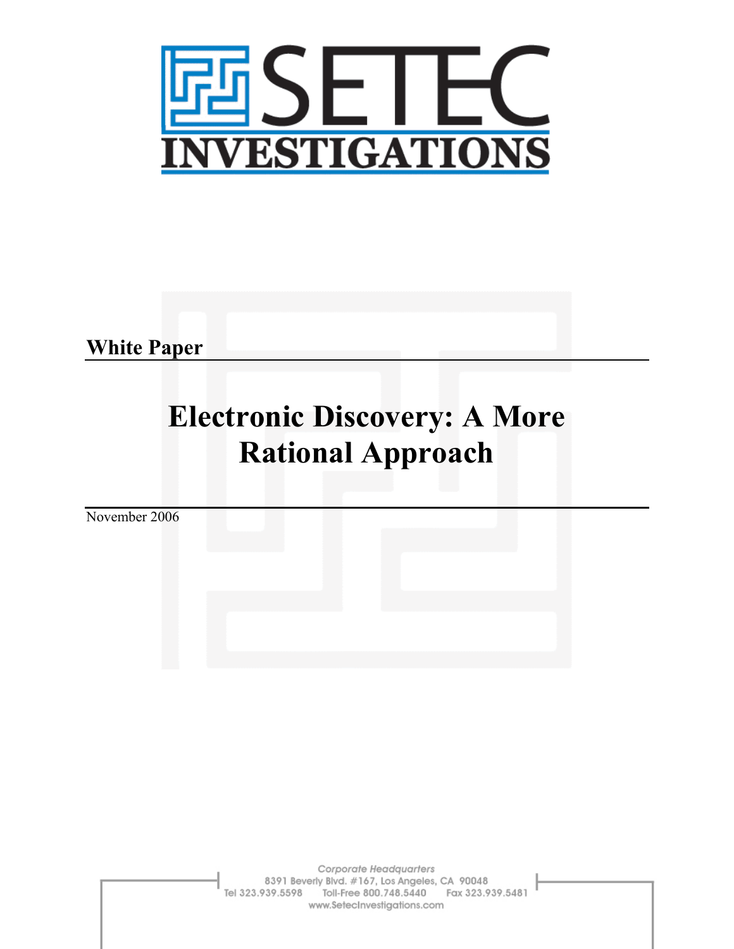

**White Paper** 

# **Electronic Discovery: A More Rational Approach**

November 2006

Corporate Headquarters 8391 Beverly Blvd. #167, Los Angeles, CA 90048 Tel 323.939.5598 Toll-Free 800.748.5440 Fax 323.939.5481 www.SetecInvestigations.com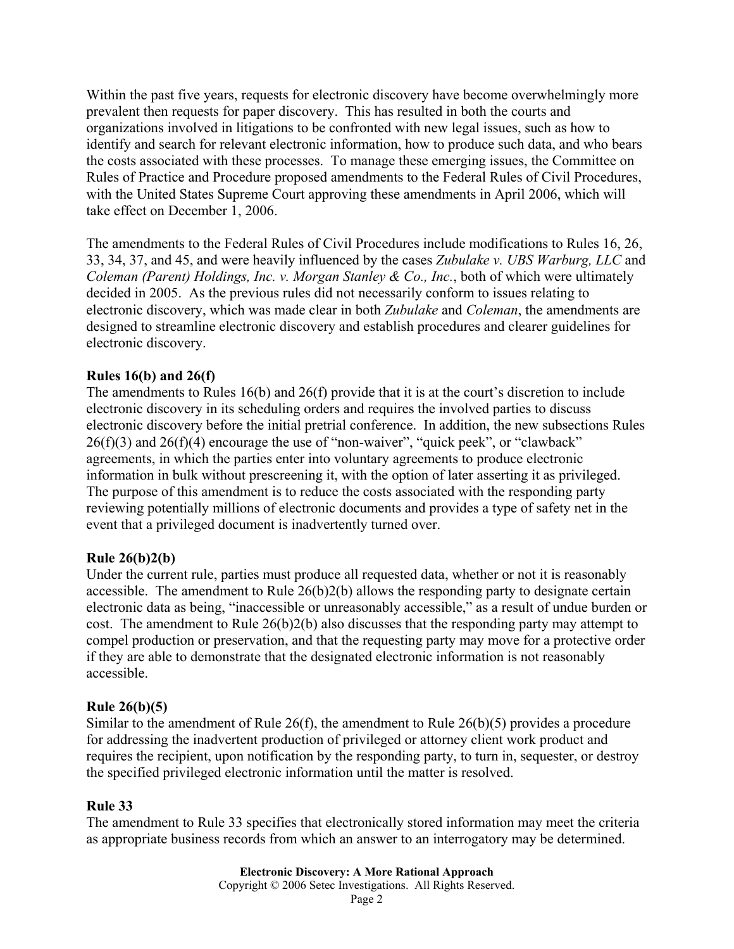Within the past five years, requests for electronic discovery have become overwhelmingly more prevalent then requests for paper discovery. This has resulted in both the courts and organizations involved in litigations to be confronted with new legal issues, such as how to identify and search for relevant electronic information, how to produce such data, and who bears the costs associated with these processes. To manage these emerging issues, the Committee on Rules of Practice and Procedure proposed amendments to the Federal Rules of Civil Procedures, with the United States Supreme Court approving these amendments in April 2006, which will take effect on December 1, 2006.

The amendments to the Federal Rules of Civil Procedures include modifications to Rules 16, 26, 33, 34, 37, and 45, and were heavily influenced by the cases *Zubulake v. UBS Warburg, LLC* and *Coleman (Parent) Holdings, Inc. v. Morgan Stanley & Co., Inc.*, both of which were ultimately decided in 2005. As the previous rules did not necessarily conform to issues relating to electronic discovery, which was made clear in both *Zubulake* and *Coleman*, the amendments are designed to streamline electronic discovery and establish procedures and clearer guidelines for electronic discovery.

# **Rules 16(b) and 26(f)**

The amendments to Rules 16(b) and 26(f) provide that it is at the court's discretion to include electronic discovery in its scheduling orders and requires the involved parties to discuss electronic discovery before the initial pretrial conference. In addition, the new subsections Rules  $26(f)(3)$  and  $26(f)(4)$  encourage the use of "non-waiver", "quick peek", or "clawback" agreements, in which the parties enter into voluntary agreements to produce electronic information in bulk without prescreening it, with the option of later asserting it as privileged. The purpose of this amendment is to reduce the costs associated with the responding party reviewing potentially millions of electronic documents and provides a type of safety net in the event that a privileged document is inadvertently turned over.

### **Rule 26(b)2(b)**

Under the current rule, parties must produce all requested data, whether or not it is reasonably accessible. The amendment to Rule 26(b)2(b) allows the responding party to designate certain electronic data as being, "inaccessible or unreasonably accessible," as a result of undue burden or cost. The amendment to Rule 26(b)2(b) also discusses that the responding party may attempt to compel production or preservation, and that the requesting party may move for a protective order if they are able to demonstrate that the designated electronic information is not reasonably accessible.

### **Rule 26(b)(5)**

Similar to the amendment of Rule  $26(f)$ , the amendment to Rule  $26(b)(5)$  provides a procedure for addressing the inadvertent production of privileged or attorney client work product and requires the recipient, upon notification by the responding party, to turn in, sequester, or destroy the specified privileged electronic information until the matter is resolved.

### **Rule 33**

The amendment to Rule 33 specifies that electronically stored information may meet the criteria as appropriate business records from which an answer to an interrogatory may be determined.